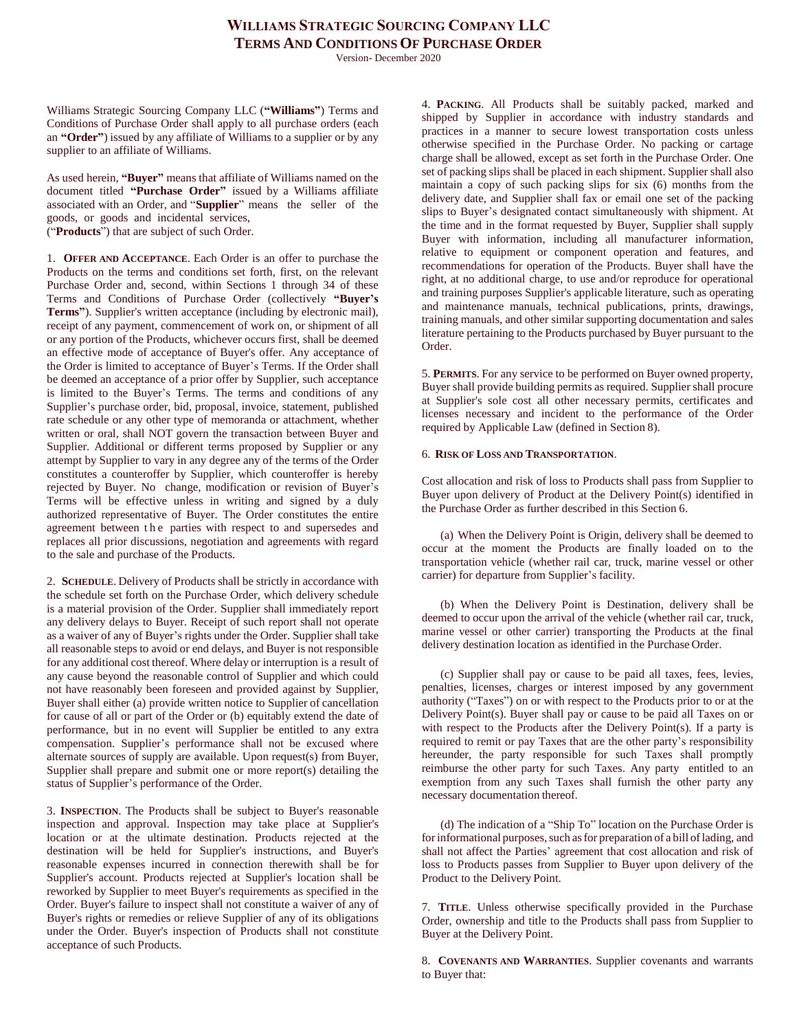Version- December 2020

Williams Strategic Sourcing Company LLC (**"Williams"**) Terms and Conditions of Purchase Order shall apply to all purchase orders (each an **"Order"**) issued by any affiliate of Williams to a supplier or by any supplier to an affiliate of Williams.

As used herein, **"Buyer"** means that affiliate of Williams named on the document titled **"Purchase Order"** issued by a Williams affiliate associated with an Order, and "**Supplier**" means the seller of the goods, or goods and incidental services, ("**Products**") that are subject of such Order.

1. **OFFER AND ACCEPTANCE**. Each Order is an offer to purchase the Products on the terms and conditions set forth, first, on the relevant Purchase Order and, second, within Sections 1 through 34 of these Terms and Conditions of Purchase Order (collectively **"Buyer's Terms"**). Supplier's written acceptance (including by electronic mail), receipt of any payment, commencement of work on, or shipment of all or any portion of the Products, whichever occurs first, shall be deemed an effective mode of acceptance of Buyer's offer. Any acceptance of the Order is limited to acceptance of Buyer's Terms. If the Order shall be deemed an acceptance of a prior offer by Supplier, such acceptance is limited to the Buyer's Terms. The terms and conditions of any Supplier's purchase order, bid, proposal, invoice, statement, published rate schedule or any other type of memoranda or attachment, whether written or oral, shall NOT govern the transaction between Buyer and Supplier. Additional or different terms proposed by Supplier or any attempt by Supplier to vary in any degree any of the terms of the Order constitutes a counteroffer by Supplier, which counteroffer is hereby rejected by Buyer. No change, modification or revision of Buyer's Terms will be effective unless in writing and signed by a duly authorized representative of Buyer. The Order constitutes the entire agreement between the parties with respect to and supersedes and replaces all prior discussions, negotiation and agreements with regard to the sale and purchase of the Products.

2. **SCHEDULE**. Delivery of Products shall be strictly in accordance with the schedule set forth on the Purchase Order, which delivery schedule is a material provision of the Order. Supplier shall immediately report any delivery delays to Buyer. Receipt of such report shall not operate as a waiver of any of Buyer's rights under the Order. Supplier shall take all reasonable steps to avoid or end delays, and Buyer is not responsible for any additional cost thereof. Where delay or interruption is a result of any cause beyond the reasonable control of Supplier and which could not have reasonably been foreseen and provided against by Supplier, Buyer shall either (a) provide written notice to Supplier of cancellation for cause of all or part of the Order or (b) equitably extend the date of performance, but in no event will Supplier be entitled to any extra compensation. Supplier's performance shall not be excused where alternate sources of supply are available. Upon request(s) from Buyer, Supplier shall prepare and submit one or more report(s) detailing the status of Supplier's performance of the Order.

3. **INSPECTION**. The Products shall be subject to Buyer's reasonable inspection and approval. Inspection may take place at Supplier's location or at the ultimate destination. Products rejected at the destination will be held for Supplier's instructions, and Buyer's reasonable expenses incurred in connection therewith shall be for Supplier's account. Products rejected at Supplier's location shall be reworked by Supplier to meet Buyer's requirements as specified in the Order. Buyer's failure to inspect shall not constitute a waiver of any of Buyer's rights or remedies or relieve Supplier of any of its obligations under the Order. Buyer's inspection of Products shall not constitute acceptance of such Products.

4. **PACKING**. All Products shall be suitably packed, marked and shipped by Supplier in accordance with industry standards and practices in a manner to secure lowest transportation costs unless otherwise specified in the Purchase Order. No packing or cartage charge shall be allowed, except as set forth in the Purchase Order. One set of packing slips shall be placed in each shipment. Supplier shall also maintain a copy of such packing slips for six (6) months from the delivery date, and Supplier shall fax or email one set of the packing slips to Buyer's designated contact simultaneously with shipment. At the time and in the format requested by Buyer, Supplier shall supply Buyer with information, including all manufacturer information, relative to equipment or component operation and features, and recommendations for operation of the Products. Buyer shall have the right, at no additional charge, to use and/or reproduce for operational and training purposes Supplier's applicable literature, such as operating and maintenance manuals, technical publications, prints, drawings, training manuals, and other similar supporting documentation and sales literature pertaining to the Products purchased by Buyer pursuant to the Order.

5. **PERMITS**. For any service to be performed on Buyer owned property, Buyer shall provide building permits as required. Supplier shall procure at Supplier's sole cost all other necessary permits, certificates and licenses necessary and incident to the performance of the Order required by Applicable Law (defined in Section 8).

### 6. **RISK OF LOSS AND TRANSPORTATION**.

Cost allocation and risk of loss to Products shall pass from Supplier to Buyer upon delivery of Product at the Delivery Point(s) identified in the Purchase Order as further described in this Section 6.

(a) When the Delivery Point is Origin, delivery shall be deemed to occur at the moment the Products are finally loaded on to the transportation vehicle (whether rail car, truck, marine vessel or other carrier) for departure from Supplier's facility.

(b) When the Delivery Point is Destination, delivery shall be deemed to occur upon the arrival of the vehicle (whether rail car, truck, marine vessel or other carrier) transporting the Products at the final delivery destination location as identified in the Purchase Order.

(c) Supplier shall pay or cause to be paid all taxes, fees, levies, penalties, licenses, charges or interest imposed by any government authority ("Taxes") on or with respect to the Products prior to or at the Delivery Point(s). Buyer shall pay or cause to be paid all Taxes on or with respect to the Products after the Delivery Point(s). If a party is required to remit or pay Taxes that are the other party's responsibility hereunder, the party responsible for such Taxes shall promptly reimburse the other party for such Taxes. Any party entitled to an exemption from any such Taxes shall furnish the other party any necessary documentation thereof.

(d) The indication of a "Ship To" location on the Purchase Order is for informational purposes, such as for preparation of a bill of lading, and shall not affect the Parties' agreement that cost allocation and risk of loss to Products passes from Supplier to Buyer upon delivery of the Product to the Delivery Point.

7. **TITLE**. Unless otherwise specifically provided in the Purchase Order, ownership and title to the Products shall pass from Supplier to Buyer at the Delivery Point.

8. **COVENANTS AND WARRANTIES**. Supplier covenants and warrants to Buyer that: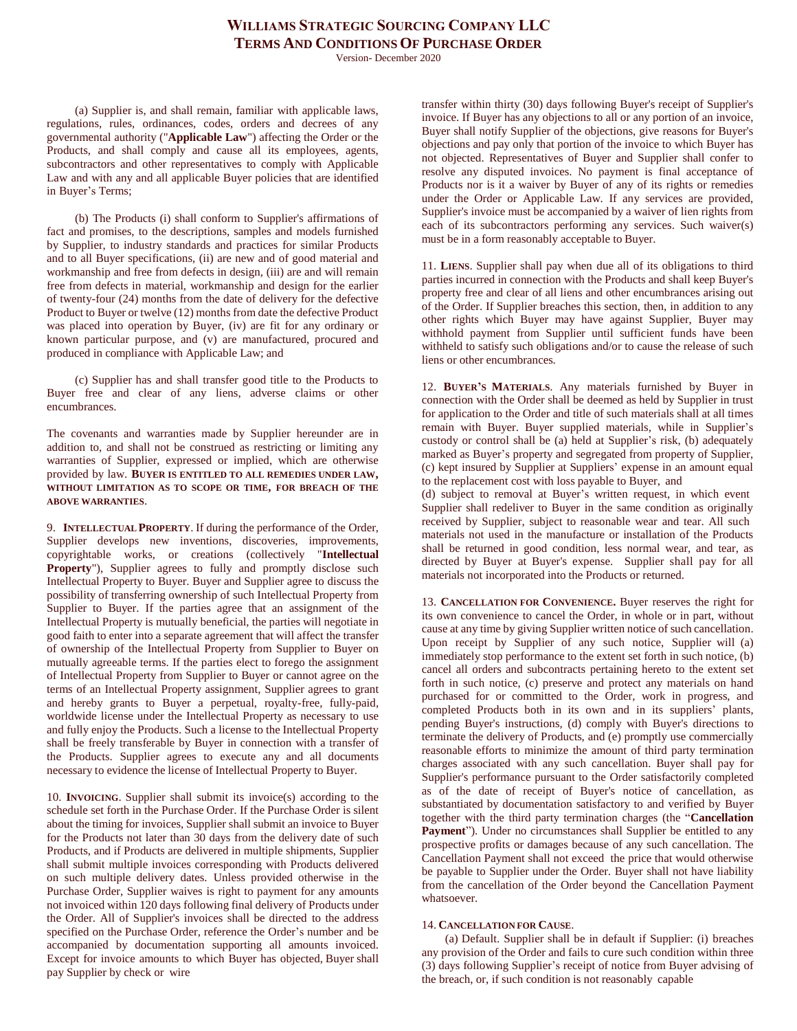Version- December 2020

(a) Supplier is, and shall remain, familiar with applicable laws, regulations, rules, ordinances, codes, orders and decrees of any governmental authority ("**Applicable Law**") affecting the Order or the Products, and shall comply and cause all its employees, agents, subcontractors and other representatives to comply with Applicable Law and with any and all applicable Buyer policies that are identified in Buyer's Terms;

(b) The Products (i) shall conform to Supplier's affirmations of fact and promises, to the descriptions, samples and models furnished by Supplier, to industry standards and practices for similar Products and to all Buyer specifications, (ii) are new and of good material and workmanship and free from defects in design, (iii) are and will remain free from defects in material, workmanship and design for the earlier of twenty-four (24) months from the date of delivery for the defective Product to Buyer or twelve (12) months from date the defective Product was placed into operation by Buyer, (iv) are fit for any ordinary or known particular purpose, and (v) are manufactured, procured and produced in compliance with Applicable Law; and

(c) Supplier has and shall transfer good title to the Products to Buyer free and clear of any liens, adverse claims or other encumbrances.

The covenants and warranties made by Supplier hereunder are in addition to, and shall not be construed as restricting or limiting any warranties of Supplier, expressed or implied, which are otherwise provided by law. **BUYER IS ENTITLED TO ALL REMEDIES UNDER LAW, WITHOUT LIMITATION AS TO SCOPE OR TIME, FOR BREACH OF THE ABOVE WARRANTIES**.

9. **INTELLECTUAL PROPERTY**. If during the performance of the Order, Supplier develops new inventions, discoveries, improvements, copyrightable works, or creations (collectively "**Intellectual Property**"), Supplier agrees to fully and promptly disclose such Intellectual Property to Buyer. Buyer and Supplier agree to discuss the possibility of transferring ownership of such Intellectual Property from Supplier to Buyer. If the parties agree that an assignment of the Intellectual Property is mutually beneficial, the parties will negotiate in good faith to enter into a separate agreement that will affect the transfer of ownership of the Intellectual Property from Supplier to Buyer on mutually agreeable terms. If the parties elect to forego the assignment of Intellectual Property from Supplier to Buyer or cannot agree on the terms of an Intellectual Property assignment, Supplier agrees to grant and hereby grants to Buyer a perpetual, royalty-free, fully-paid, worldwide license under the Intellectual Property as necessary to use and fully enjoy the Products. Such a license to the Intellectual Property shall be freely transferable by Buyer in connection with a transfer of the Products. Supplier agrees to execute any and all documents necessary to evidence the license of Intellectual Property to Buyer.

10. **INVOICING**. Supplier shall submit its invoice(s) according to the schedule set forth in the Purchase Order. If the Purchase Order is silent about the timing for invoices, Supplier shall submit an invoice to Buyer for the Products not later than 30 days from the delivery date of such Products, and if Products are delivered in multiple shipments, Supplier shall submit multiple invoices corresponding with Products delivered on such multiple delivery dates. Unless provided otherwise in the Purchase Order, Supplier waives is right to payment for any amounts not invoiced within 120 days following final delivery of Products under the Order. All of Supplier's invoices shall be directed to the address specified on the Purchase Order, reference the Order's number and be accompanied by documentation supporting all amounts invoiced. Except for invoice amounts to which Buyer has objected, Buyer shall pay Supplier by check or wire

transfer within thirty (30) days following Buyer's receipt of Supplier's invoice. If Buyer has any objections to all or any portion of an invoice, Buyer shall notify Supplier of the objections, give reasons for Buyer's objections and pay only that portion of the invoice to which Buyer has not objected. Representatives of Buyer and Supplier shall confer to resolve any disputed invoices. No payment is final acceptance of Products nor is it a waiver by Buyer of any of its rights or remedies under the Order or Applicable Law. If any services are provided, Supplier's invoice must be accompanied by a waiver of lien rights from each of its subcontractors performing any services. Such waiver(s) must be in a form reasonably acceptable to Buyer.

11. **LIENS**. Supplier shall pay when due all of its obligations to third parties incurred in connection with the Products and shall keep Buyer's property free and clear of all liens and other encumbrances arising out of the Order. If Supplier breaches this section, then, in addition to any other rights which Buyer may have against Supplier, Buyer may withhold payment from Supplier until sufficient funds have been withheld to satisfy such obligations and/or to cause the release of such liens or other encumbrances.

12. **BUYER'S MATERIALS**. Any materials furnished by Buyer in connection with the Order shall be deemed as held by Supplier in trust for application to the Order and title of such materials shall at all times remain with Buyer. Buyer supplied materials, while in Supplier's custody or control shall be (a) held at Supplier's risk, (b) adequately marked as Buyer's property and segregated from property of Supplier, (c) kept insured by Supplier at Suppliers' expense in an amount equal to the replacement cost with loss payable to Buyer, and

(d) subject to removal at Buyer's written request, in which event Supplier shall redeliver to Buyer in the same condition as originally received by Supplier, subject to reasonable wear and tear. All such materials not used in the manufacture or installation of the Products shall be returned in good condition, less normal wear, and tear, as directed by Buyer at Buyer's expense. Supplier shall pay for all materials not incorporated into the Products or returned.

13. **CANCELLATION FOR CONVENIENCE.** Buyer reserves the right for its own convenience to cancel the Order, in whole or in part, without cause at any time by giving Supplier written notice of such cancellation. Upon receipt by Supplier of any such notice, Supplier will (a) immediately stop performance to the extent set forth in such notice, (b) cancel all orders and subcontracts pertaining hereto to the extent set forth in such notice, (c) preserve and protect any materials on hand purchased for or committed to the Order, work in progress, and completed Products both in its own and in its suppliers' plants, pending Buyer's instructions, (d) comply with Buyer's directions to terminate the delivery of Products, and (e) promptly use commercially reasonable efforts to minimize the amount of third party termination charges associated with any such cancellation. Buyer shall pay for Supplier's performance pursuant to the Order satisfactorily completed as of the date of receipt of Buyer's notice of cancellation, as substantiated by documentation satisfactory to and verified by Buyer together with the third party termination charges (the "**Cancellation**  Payment"). Under no circumstances shall Supplier be entitled to any prospective profits or damages because of any such cancellation. The Cancellation Payment shall not exceed the price that would otherwise be payable to Supplier under the Order. Buyer shall not have liability from the cancellation of the Order beyond the Cancellation Payment whatsoever.

#### 14. **CANCELLATION FOR CAUSE**.

(a) Default. Supplier shall be in default if Supplier: (i) breaches any provision of the Order and fails to cure such condition within three (3) days following Supplier's receipt of notice from Buyer advising of the breach, or, if such condition is not reasonably capable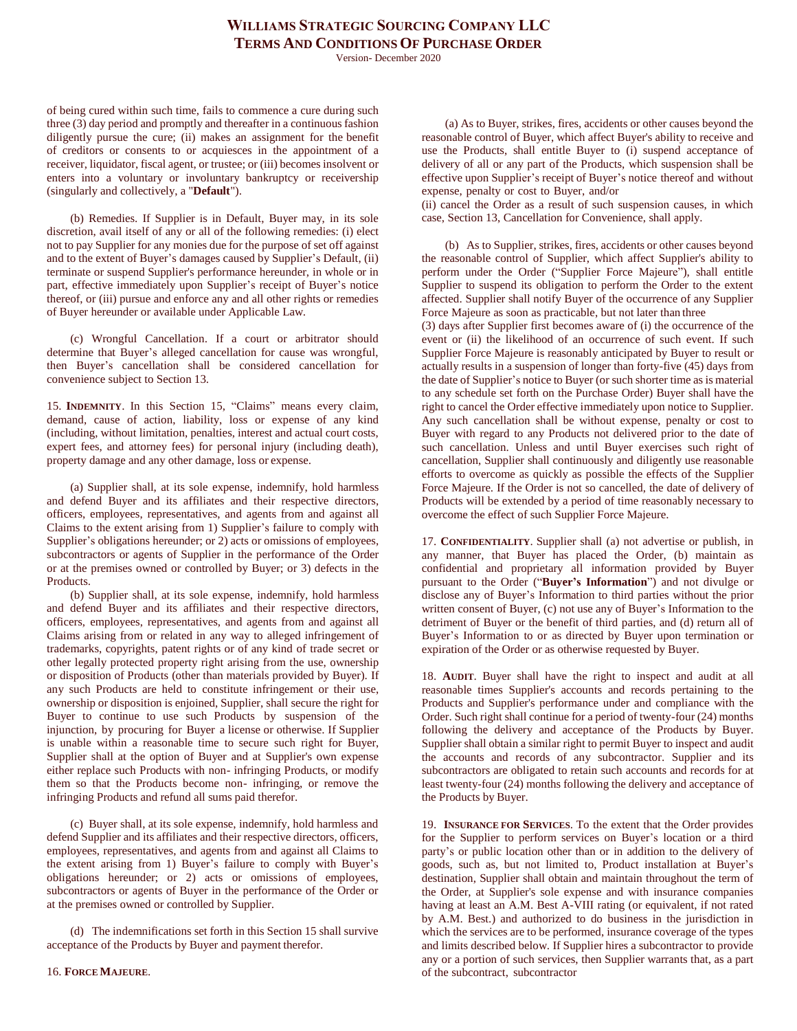Version- December 2020

of being cured within such time, fails to commence a cure during such three (3) day period and promptly and thereafter in a continuous fashion diligently pursue the cure; (ii) makes an assignment for the benefit of creditors or consents to or acquiesces in the appointment of a receiver, liquidator, fiscal agent, or trustee; or (iii) becomes insolvent or enters into a voluntary or involuntary bankruptcy or receivership (singularly and collectively, a "**Default**").

(b) Remedies. If Supplier is in Default, Buyer may, in its sole discretion, avail itself of any or all of the following remedies: (i) elect not to pay Supplier for any monies due for the purpose of set off against and to the extent of Buyer's damages caused by Supplier's Default, (ii) terminate or suspend Supplier's performance hereunder, in whole or in part, effective immediately upon Supplier's receipt of Buyer's notice thereof, or (iii) pursue and enforce any and all other rights or remedies of Buyer hereunder or available under Applicable Law.

(c) Wrongful Cancellation. If a court or arbitrator should determine that Buyer's alleged cancellation for cause was wrongful, then Buyer's cancellation shall be considered cancellation for convenience subject to Section 13.

15. **INDEMNITY**. In this Section 15, "Claims" means every claim, demand, cause of action, liability, loss or expense of any kind (including, without limitation, penalties, interest and actual court costs, expert fees, and attorney fees) for personal injury (including death), property damage and any other damage, loss or expense.

(a) Supplier shall, at its sole expense, indemnify, hold harmless and defend Buyer and its affiliates and their respective directors, officers, employees, representatives, and agents from and against all Claims to the extent arising from 1) Supplier's failure to comply with Supplier's obligations hereunder; or 2) acts or omissions of employees, subcontractors or agents of Supplier in the performance of the Order or at the premises owned or controlled by Buyer; or 3) defects in the Products.

(b) Supplier shall, at its sole expense, indemnify, hold harmless and defend Buyer and its affiliates and their respective directors, officers, employees, representatives, and agents from and against all Claims arising from or related in any way to alleged infringement of trademarks, copyrights, patent rights or of any kind of trade secret or other legally protected property right arising from the use, ownership or disposition of Products (other than materials provided by Buyer). If any such Products are held to constitute infringement or their use, ownership or disposition is enjoined, Supplier, shall secure the right for Buyer to continue to use such Products by suspension of the injunction, by procuring for Buyer a license or otherwise. If Supplier is unable within a reasonable time to secure such right for Buyer, Supplier shall at the option of Buyer and at Supplier's own expense either replace such Products with non- infringing Products, or modify them so that the Products become non- infringing, or remove the infringing Products and refund all sums paid therefor.

(c) Buyer shall, at its sole expense, indemnify, hold harmless and defend Supplier and its affiliates and their respective directors, officers, employees, representatives, and agents from and against all Claims to the extent arising from 1) Buyer's failure to comply with Buyer's obligations hereunder; or 2) acts or omissions of employees, subcontractors or agents of Buyer in the performance of the Order or at the premises owned or controlled by Supplier.

(d) The indemnifications set forth in this Section 15 shall survive acceptance of the Products by Buyer and payment therefor.

(a) As to Buyer, strikes, fires, accidents or other causes beyond the reasonable control of Buyer, which affect Buyer's ability to receive and use the Products, shall entitle Buyer to (i) suspend acceptance of delivery of all or any part of the Products, which suspension shall be effective upon Supplier's receipt of Buyer's notice thereof and without expense, penalty or cost to Buyer, and/or

(ii) cancel the Order as a result of such suspension causes, in which case, Section 13, Cancellation for Convenience, shall apply.

(b) As to Supplier, strikes, fires, accidents or other causes beyond the reasonable control of Supplier, which affect Supplier's ability to perform under the Order ("Supplier Force Majeure"), shall entitle Supplier to suspend its obligation to perform the Order to the extent affected. Supplier shall notify Buyer of the occurrence of any Supplier Force Majeure as soon as practicable, but not later than three

(3) days after Supplier first becomes aware of (i) the occurrence of the event or (ii) the likelihood of an occurrence of such event. If such Supplier Force Majeure is reasonably anticipated by Buyer to result or actually results in a suspension of longer than forty-five (45) days from the date of Supplier's notice to Buyer (or such shorter time as is material to any schedule set forth on the Purchase Order) Buyer shall have the right to cancel the Order effective immediately upon notice to Supplier. Any such cancellation shall be without expense, penalty or cost to Buyer with regard to any Products not delivered prior to the date of such cancellation. Unless and until Buyer exercises such right of cancellation, Supplier shall continuously and diligently use reasonable efforts to overcome as quickly as possible the effects of the Supplier Force Majeure. If the Order is not so cancelled, the date of delivery of Products will be extended by a period of time reasonably necessary to overcome the effect of such Supplier Force Majeure.

17. **CONFIDENTIALITY**. Supplier shall (a) not advertise or publish, in any manner, that Buyer has placed the Order, (b) maintain as confidential and proprietary all information provided by Buyer pursuant to the Order ("**Buyer's Information**") and not divulge or disclose any of Buyer's Information to third parties without the prior written consent of Buyer, (c) not use any of Buyer's Information to the detriment of Buyer or the benefit of third parties, and (d) return all of Buyer's Information to or as directed by Buyer upon termination or expiration of the Order or as otherwise requested by Buyer.

18. **AUDIT**. Buyer shall have the right to inspect and audit at all reasonable times Supplier's accounts and records pertaining to the Products and Supplier's performance under and compliance with the Order. Such right shall continue for a period of twenty-four (24) months following the delivery and acceptance of the Products by Buyer. Supplier shall obtain a similar right to permit Buyer to inspect and audit the accounts and records of any subcontractor. Supplier and its subcontractors are obligated to retain such accounts and records for at least twenty-four (24) months following the delivery and acceptance of the Products by Buyer.

19. **INSURANCE FOR SERVICES**. To the extent that the Order provides for the Supplier to perform services on Buyer's location or a third party's or public location other than or in addition to the delivery of goods, such as, but not limited to, Product installation at Buyer's destination, Supplier shall obtain and maintain throughout the term of the Order, at Supplier's sole expense and with insurance companies having at least an A.M. Best A-VIII rating (or equivalent, if not rated by A.M. Best.) and authorized to do business in the jurisdiction in which the services are to be performed, insurance coverage of the types and limits described below. If Supplier hires a subcontractor to provide any or a portion of such services, then Supplier warrants that, as a part of the subcontract, subcontractor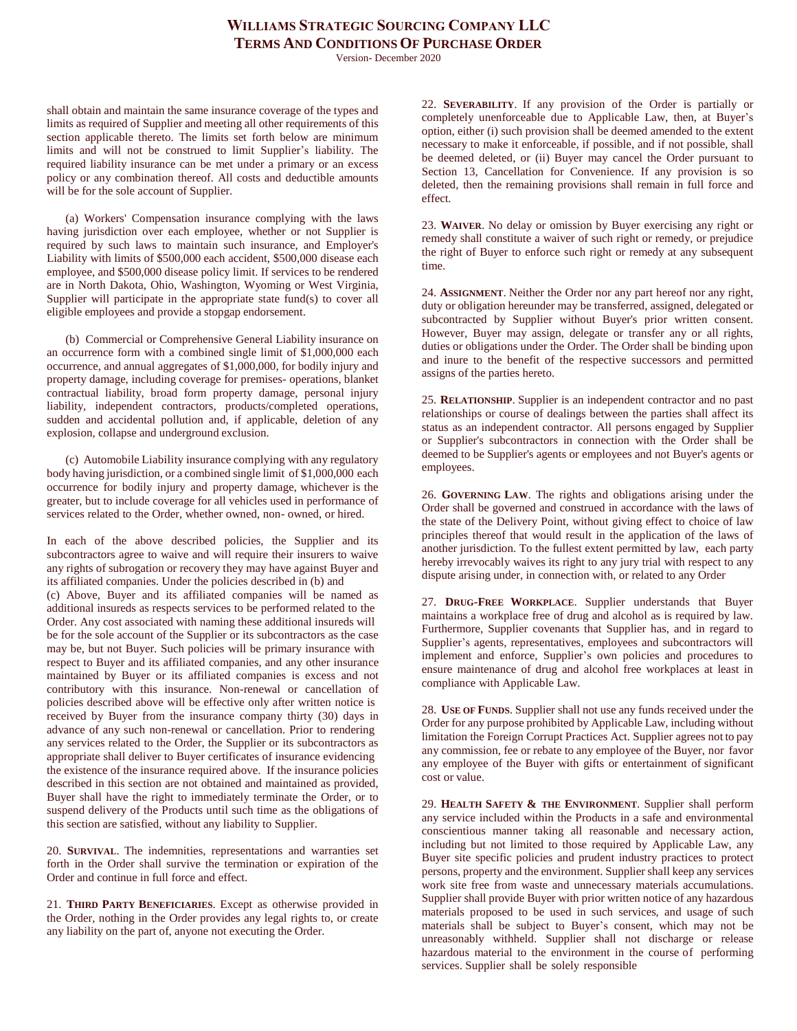Version- December 2020

shall obtain and maintain the same insurance coverage of the types and limits as required of Supplier and meeting all other requirements of this section applicable thereto. The limits set forth below are minimum limits and will not be construed to limit Supplier's liability. The required liability insurance can be met under a primary or an excess policy or any combination thereof. All costs and deductible amounts will be for the sole account of Supplier.

(a) Workers' Compensation insurance complying with the laws having jurisdiction over each employee, whether or not Supplier is required by such laws to maintain such insurance, and Employer's Liability with limits of \$500,000 each accident, \$500,000 disease each employee, and \$500,000 disease policy limit. If services to be rendered are in North Dakota, Ohio, Washington, Wyoming or West Virginia, Supplier will participate in the appropriate state fund(s) to cover all eligible employees and provide a stopgap endorsement.

(b) Commercial or Comprehensive General Liability insurance on an occurrence form with a combined single limit of \$1,000,000 each occurrence, and annual aggregates of \$1,000,000, for bodily injury and property damage, including coverage for premises- operations, blanket contractual liability, broad form property damage, personal injury liability, independent contractors, products/completed operations, sudden and accidental pollution and, if applicable, deletion of any explosion, collapse and underground exclusion.

(c) Automobile Liability insurance complying with any regulatory body having jurisdiction, or a combined single limit of \$1,000,000 each occurrence for bodily injury and property damage, whichever is the greater, but to include coverage for all vehicles used in performance of services related to the Order, whether owned, non- owned, or hired.

In each of the above described policies, the Supplier and its subcontractors agree to waive and will require their insurers to waive any rights of subrogation or recovery they may have against Buyer and its affiliated companies. Under the policies described in (b) and (c) Above, Buyer and its affiliated companies will be named as additional insureds as respects services to be performed related to the Order. Any cost associated with naming these additional insureds will be for the sole account of the Supplier or its subcontractors as the case may be, but not Buyer. Such policies will be primary insurance with respect to Buyer and its affiliated companies, and any other insurance maintained by Buyer or its affiliated companies is excess and not contributory with this insurance. Non-renewal or cancellation of policies described above will be effective only after written notice is received by Buyer from the insurance company thirty (30) days in advance of any such non-renewal or cancellation. Prior to rendering any services related to the Order, the Supplier or its subcontractors as appropriate shall deliver to Buyer certificates of insurance evidencing the existence of the insurance required above. If the insurance policies described in this section are not obtained and maintained as provided, Buyer shall have the right to immediately terminate the Order, or to suspend delivery of the Products until such time as the obligations of this section are satisfied, without any liability to Supplier.

20. **SURVIVAL**. The indemnities, representations and warranties set forth in the Order shall survive the termination or expiration of the Order and continue in full force and effect.

21. **THIRD PARTY BENEFICIARIES**. Except as otherwise provided in the Order, nothing in the Order provides any legal rights to, or create any liability on the part of, anyone not executing the Order.

22. **SEVERABILITY**. If any provision of the Order is partially or completely unenforceable due to Applicable Law, then, at Buyer's option, either (i) such provision shall be deemed amended to the extent necessary to make it enforceable, if possible, and if not possible, shall be deemed deleted, or (ii) Buyer may cancel the Order pursuant to Section 13, Cancellation for Convenience. If any provision is so deleted, then the remaining provisions shall remain in full force and effect.

23. **WAIVER**. No delay or omission by Buyer exercising any right or remedy shall constitute a waiver of such right or remedy, or prejudice the right of Buyer to enforce such right or remedy at any subsequent time.

24. **ASSIGNMENT**. Neither the Order nor any part hereof nor any right, duty or obligation hereunder may be transferred, assigned, delegated or subcontracted by Supplier without Buyer's prior written consent. However, Buyer may assign, delegate or transfer any or all rights, duties or obligations under the Order. The Order shall be binding upon and inure to the benefit of the respective successors and permitted assigns of the parties hereto.

25. **RELATIONSHIP**. Supplier is an independent contractor and no past relationships or course of dealings between the parties shall affect its status as an independent contractor. All persons engaged by Supplier or Supplier's subcontractors in connection with the Order shall be deemed to be Supplier's agents or employees and not Buyer's agents or employees.

26. **GOVERNING LAW**. The rights and obligations arising under the Order shall be governed and construed in accordance with the laws of the state of the Delivery Point, without giving effect to choice of law principles thereof that would result in the application of the laws of another jurisdiction. To the fullest extent permitted by law, each party hereby irrevocably waives its right to any jury trial with respect to any dispute arising under, in connection with, or related to any Order

27. **DRUG-FREE WORKPLACE**. Supplier understands that Buyer maintains a workplace free of drug and alcohol as is required by law. Furthermore, Supplier covenants that Supplier has, and in regard to Supplier's agents, representatives, employees and subcontractors will implement and enforce, Supplier's own policies and procedures to ensure maintenance of drug and alcohol free workplaces at least in compliance with Applicable Law.

28. **USE OF FUNDS**. Supplier shall not use any funds received under the Order for any purpose prohibited by Applicable Law, including without limitation the Foreign Corrupt Practices Act. Supplier agrees not to pay any commission, fee or rebate to any employee of the Buyer, nor favor any employee of the Buyer with gifts or entertainment of significant cost or value.

29. **HEALTH SAFETY & THE ENVIRONMENT**. Supplier shall perform any service included within the Products in a safe and environmental conscientious manner taking all reasonable and necessary action, including but not limited to those required by Applicable Law, any Buyer site specific policies and prudent industry practices to protect persons, property and the environment. Supplier shall keep any services work site free from waste and unnecessary materials accumulations. Supplier shall provide Buyer with prior written notice of any hazardous materials proposed to be used in such services, and usage of such materials shall be subject to Buyer's consent, which may not be unreasonably withheld. Supplier shall not discharge or release hazardous material to the environment in the course of performing services. Supplier shall be solely responsible